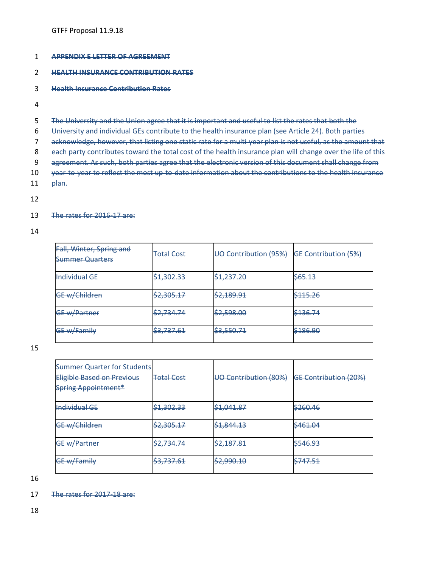## 1 **APPENDIX E LETTER OF AGREEMENT**

## 2 **HEALTH INSURANCE CONTRIBUTION RATES**

## 3 **Health Insurance Contribution Rates**

- 4
- 5 The University and the Union agree that it is important and useful to list the rates that both the
- 6 University and individual GEs contribute to the health insurance plan (see Article 24). Both parties
- 7 acknowledge, however, that listing one static rate for a multi-year plan is not useful, as the amount that
- 8 each party contributes toward the total cost of the health insurance plan will change over the life of this
- 9 agreement. As such, both parties agree that the electronic version of this document shall change from
- 10 year-to-year to reflect the most up-to-date information about the contributions to the health insurance
- 11 plan.
- 12

## 13 The rates for 2016-17 are:

14

| Fall, Winter, Spring and<br><b>Summer Quarters</b> | <b>Total Cost</b> | UO Contribution (95%) | <b>GE Contribution (5%)</b> |
|----------------------------------------------------|-------------------|-----------------------|-----------------------------|
| <b>Individual GE</b>                               | \$1,302.33        | \$1,237.20            | \$65.13                     |
| <b>GE w/Children</b>                               | \$2,305.17        | \$2,189.91            | \$115.26                    |
| <b>GE w/Partner</b>                                | \$2,734.74        | \$2,598.00            | \$136.74                    |
| GE w/Family                                        | \$3,737.61        | \$3,550.71            | \$186.90                    |

15

| <b>Summer Quarter for Students</b><br><b>Eligible Based on Previous</b><br><b>Spring Appointment*</b> | <b>Total Cost</b> | UO Contribution (80%) | <b>GE Contribution (20%)</b> |
|-------------------------------------------------------------------------------------------------------|-------------------|-----------------------|------------------------------|
| <b>Individual GE</b>                                                                                  | \$1,302.33        | \$1,041.87            | \$260.46                     |
| GE w/Children                                                                                         | \$2,305.17        | \$1,844.13            | \$461.04                     |
| GE w/Partner                                                                                          | \$2,734.74        | \$2,187.81            | \$546.93                     |
| GE w/Family                                                                                           | \$3,737.61        | \$2,990.10            | \$747.51                     |

16

17 The rates for 2017-18 are:

18